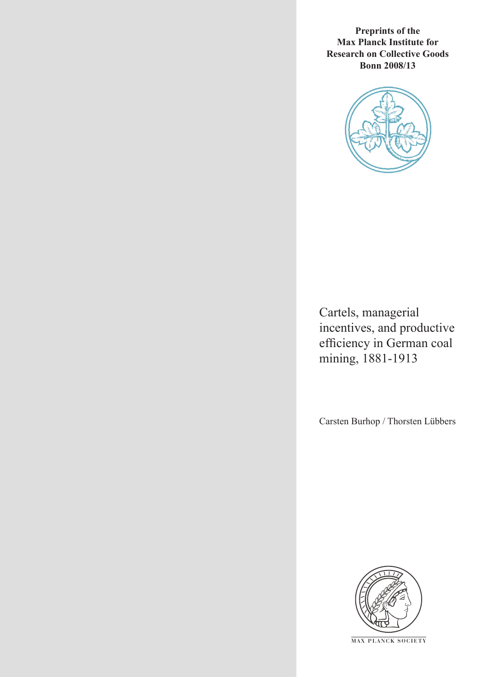**Preprints of the Max Planck Institute for Research on Collective Goods Bonn 2008/13**



Cartels, managerial incentives, and productive efficiency in German coal mining, 1881-1913

Carsten Burhop / Thorsten Lübbers



**M AX P L A N C K S O C I E T Y**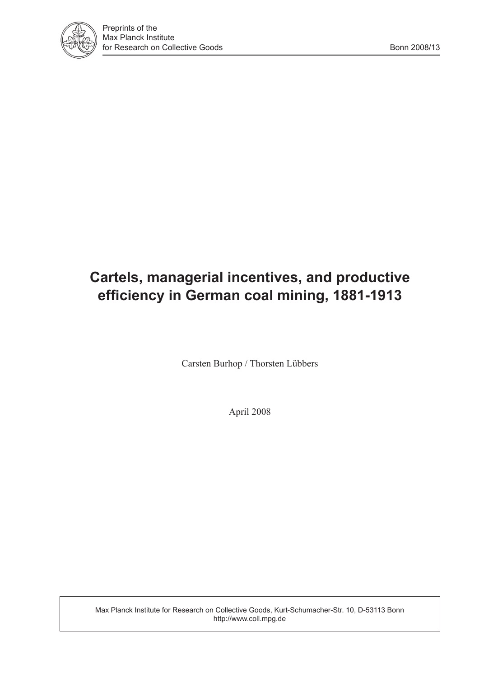

# **Cartels, managerial incentives, and productive efficiency in German coal mining, 1881-1913**

Carsten Burhop / Thorsten Lübbers

April 2008

Max Planck Institute for Research on Collective Goods, Kurt-Schumacher-Str. 10, D-53113 Bonn http://www.coll.mpg.de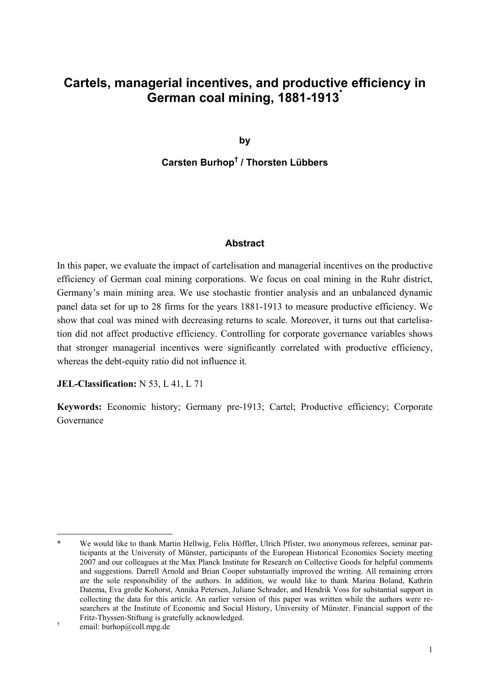# **Cartels, managerial incentives, and productive efficiency in German coal mining, 1881-1913\***

**by** 

**Carsten Burhop† / Thorsten Lübbers** 

### **Abstract**

In this paper, we evaluate the impact of cartelisation and managerial incentives on the productive efficiency of German coal mining corporations. We focus on coal mining in the Ruhr district, Germany's main mining area. We use stochastic frontier analysis and an unbalanced dynamic panel data set for up to 28 firms for the years 1881-1913 to measure productive efficiency. We show that coal was mined with decreasing returns to scale. Moreover, it turns out that cartelisation did not affect productive efficiency. Controlling for corporate governance variables shows that stronger managerial incentives were significantly correlated with productive efficiency, whereas the debt-equity ratio did not influence it.

**JEL-Classification:** N 53, L 41, L 71

**Keywords:** Economic history; Germany pre-1913; Cartel; Productive efficiency; Corporate Governance

j We would like to thank Martin Hellwig, Felix Höffler, Ulrich Pfister, two anonymous referees, seminar participants at the University of Münster, participants of the European Historical Economics Society meeting 2007 and our colleagues at the Max Planck Institute for Research on Collective Goods for helpful comments and suggestions. Darrell Arnold and Brian Cooper substantially improved the writing. All remaining errors are the sole responsibility of the authors. In addition, we would like to thank Marina Boland, Kathrin Datema, Eva große Kohorst, Annika Petersen, Juliane Schrader, and Hendrik Voss for substantial support in collecting the data for this article. An earlier version of this paper was written while the authors were researchers at the Institute of Economic and Social History, University of Münster. Financial support of the Fritz-Thyssen-Stiftung is gratefully acknowledged.

<sup>†</sup> email: burhop@coll.mpg.de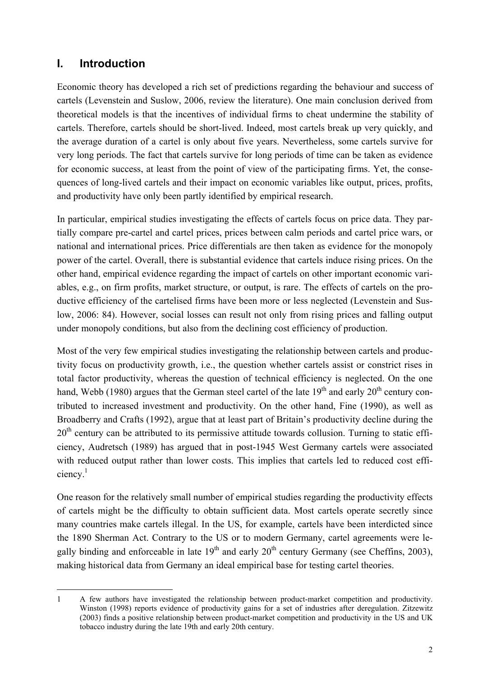# **I. Introduction**

Economic theory has developed a rich set of predictions regarding the behaviour and success of cartels (Levenstein and Suslow, 2006, review the literature). One main conclusion derived from theoretical models is that the incentives of individual firms to cheat undermine the stability of cartels. Therefore, cartels should be short-lived. Indeed, most cartels break up very quickly, and the average duration of a cartel is only about five years. Nevertheless, some cartels survive for very long periods. The fact that cartels survive for long periods of time can be taken as evidence for economic success, at least from the point of view of the participating firms. Yet, the consequences of long-lived cartels and their impact on economic variables like output, prices, profits, and productivity have only been partly identified by empirical research.

In particular, empirical studies investigating the effects of cartels focus on price data. They partially compare pre-cartel and cartel prices, prices between calm periods and cartel price wars, or national and international prices. Price differentials are then taken as evidence for the monopoly power of the cartel. Overall, there is substantial evidence that cartels induce rising prices. On the other hand, empirical evidence regarding the impact of cartels on other important economic variables, e.g., on firm profits, market structure, or output, is rare. The effects of cartels on the productive efficiency of the cartelised firms have been more or less neglected (Levenstein and Suslow, 2006: 84). However, social losses can result not only from rising prices and falling output under monopoly conditions, but also from the declining cost efficiency of production.

Most of the very few empirical studies investigating the relationship between cartels and productivity focus on productivity growth, i.e., the question whether cartels assist or constrict rises in total factor productivity, whereas the question of technical efficiency is neglected. On the one hand, Webb (1980) argues that the German steel cartel of the late  $19<sup>th</sup>$  and early  $20<sup>th</sup>$  century contributed to increased investment and productivity. On the other hand, Fine (1990), as well as Broadberry and Crafts (1992), argue that at least part of Britain's productivity decline during the  $20<sup>th</sup>$  century can be attributed to its permissive attitude towards collusion. Turning to static efficiency, Audretsch (1989) has argued that in post-1945 West Germany cartels were associated with reduced output rather than lower costs. This implies that cartels led to reduced cost efficiency.1

One reason for the relatively small number of empirical studies regarding the productivity effects of cartels might be the difficulty to obtain sufficient data. Most cartels operate secretly since many countries make cartels illegal. In the US, for example, cartels have been interdicted since the 1890 Sherman Act. Contrary to the US or to modern Germany, cartel agreements were legally binding and enforceable in late  $19<sup>th</sup>$  and early  $20<sup>th</sup>$  century Germany (see Cheffins, 2003), making historical data from Germany an ideal empirical base for testing cartel theories.

j 1 A few authors have investigated the relationship between product-market competition and productivity. Winston (1998) reports evidence of productivity gains for a set of industries after deregulation. Zitzewitz (2003) finds a positive relationship between product-market competition and productivity in the US and UK tobacco industry during the late 19th and early 20th century.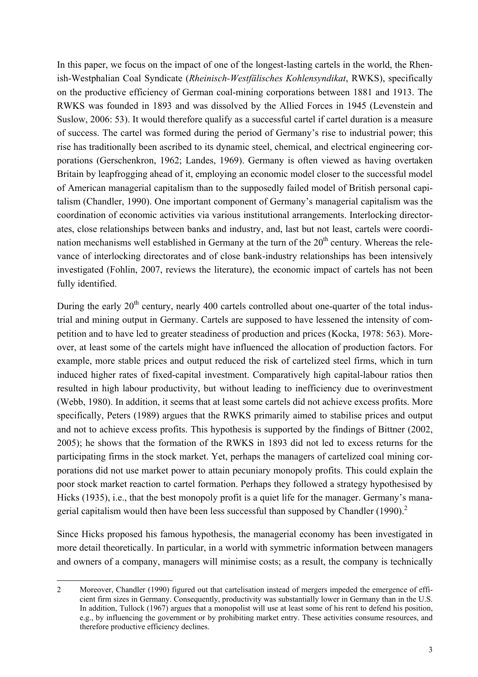In this paper, we focus on the impact of one of the longest-lasting cartels in the world, the Rhenish-Westphalian Coal Syndicate (*Rheinisch-Westfälisches Kohlensyndikat*, RWKS), specifically on the productive efficiency of German coal-mining corporations between 1881 and 1913. The RWKS was founded in 1893 and was dissolved by the Allied Forces in 1945 (Levenstein and Suslow, 2006: 53). It would therefore qualify as a successful cartel if cartel duration is a measure of success. The cartel was formed during the period of Germany's rise to industrial power; this rise has traditionally been ascribed to its dynamic steel, chemical, and electrical engineering corporations (Gerschenkron, 1962; Landes, 1969). Germany is often viewed as having overtaken Britain by leapfrogging ahead of it, employing an economic model closer to the successful model of American managerial capitalism than to the supposedly failed model of British personal capitalism (Chandler, 1990). One important component of Germany's managerial capitalism was the coordination of economic activities via various institutional arrangements. Interlocking directorates, close relationships between banks and industry, and, last but not least, cartels were coordination mechanisms well established in Germany at the turn of the  $20<sup>th</sup>$  century. Whereas the relevance of interlocking directorates and of close bank-industry relationships has been intensively investigated (Fohlin, 2007, reviews the literature), the economic impact of cartels has not been fully identified.

During the early  $20<sup>th</sup>$  century, nearly 400 cartels controlled about one-quarter of the total industrial and mining output in Germany. Cartels are supposed to have lessened the intensity of competition and to have led to greater steadiness of production and prices (Kocka, 1978: 563). Moreover, at least some of the cartels might have influenced the allocation of production factors. For example, more stable prices and output reduced the risk of cartelized steel firms, which in turn induced higher rates of fixed-capital investment. Comparatively high capital-labour ratios then resulted in high labour productivity, but without leading to inefficiency due to overinvestment (Webb, 1980). In addition, it seems that at least some cartels did not achieve excess profits. More specifically, Peters (1989) argues that the RWKS primarily aimed to stabilise prices and output and not to achieve excess profits. This hypothesis is supported by the findings of Bittner (2002, 2005); he shows that the formation of the RWKS in 1893 did not led to excess returns for the participating firms in the stock market. Yet, perhaps the managers of cartelized coal mining corporations did not use market power to attain pecuniary monopoly profits. This could explain the poor stock market reaction to cartel formation. Perhaps they followed a strategy hypothesised by Hicks (1935), i.e., that the best monopoly profit is a quiet life for the manager. Germany's managerial capitalism would then have been less successful than supposed by Chandler  $(1990)^2$ 

Since Hicks proposed his famous hypothesis, the managerial economy has been investigated in more detail theoretically. In particular, in a world with symmetric information between managers and owners of a company, managers will minimise costs; as a result, the company is technically

<sup>2</sup> Moreover, Chandler (1990) figured out that cartelisation instead of mergers impeded the emergence of efficient firm sizes in Germany. Consequently, productivity was substantially lower in Germany than in the U.S. In addition, Tullock (1967) argues that a monopolist will use at least some of his rent to defend his position, e.g., by influencing the government or by prohibiting market entry. These activities consume resources, and therefore productive efficiency declines.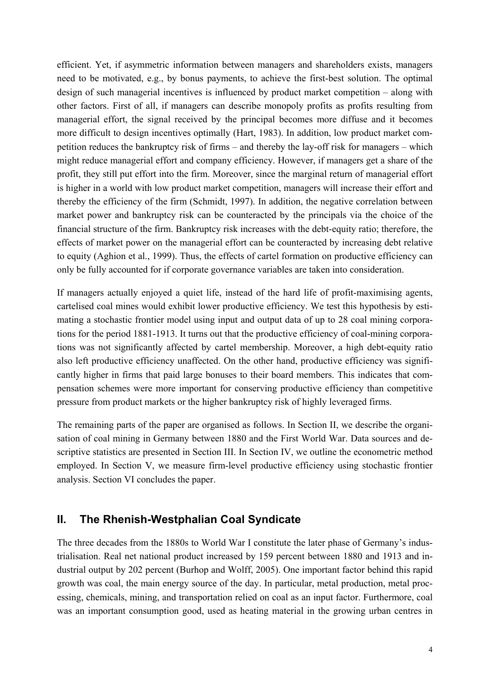efficient. Yet, if asymmetric information between managers and shareholders exists, managers need to be motivated, e.g., by bonus payments, to achieve the first-best solution. The optimal design of such managerial incentives is influenced by product market competition – along with other factors. First of all, if managers can describe monopoly profits as profits resulting from managerial effort, the signal received by the principal becomes more diffuse and it becomes more difficult to design incentives optimally (Hart, 1983). In addition, low product market competition reduces the bankruptcy risk of firms – and thereby the lay-off risk for managers – which might reduce managerial effort and company efficiency. However, if managers get a share of the profit, they still put effort into the firm. Moreover, since the marginal return of managerial effort is higher in a world with low product market competition, managers will increase their effort and thereby the efficiency of the firm (Schmidt, 1997). In addition, the negative correlation between market power and bankruptcy risk can be counteracted by the principals via the choice of the financial structure of the firm. Bankruptcy risk increases with the debt-equity ratio; therefore, the effects of market power on the managerial effort can be counteracted by increasing debt relative to equity (Aghion et al., 1999). Thus, the effects of cartel formation on productive efficiency can only be fully accounted for if corporate governance variables are taken into consideration.

If managers actually enjoyed a quiet life, instead of the hard life of profit-maximising agents, cartelised coal mines would exhibit lower productive efficiency. We test this hypothesis by estimating a stochastic frontier model using input and output data of up to 28 coal mining corporations for the period 1881-1913. It turns out that the productive efficiency of coal-mining corporations was not significantly affected by cartel membership. Moreover, a high debt-equity ratio also left productive efficiency unaffected. On the other hand, productive efficiency was significantly higher in firms that paid large bonuses to their board members. This indicates that compensation schemes were more important for conserving productive efficiency than competitive pressure from product markets or the higher bankruptcy risk of highly leveraged firms.

The remaining parts of the paper are organised as follows. In Section II, we describe the organisation of coal mining in Germany between 1880 and the First World War. Data sources and descriptive statistics are presented in Section III. In Section IV, we outline the econometric method employed. In Section V, we measure firm-level productive efficiency using stochastic frontier analysis. Section VI concludes the paper.

### **II. The Rhenish-Westphalian Coal Syndicate**

The three decades from the 1880s to World War I constitute the later phase of Germany's industrialisation. Real net national product increased by 159 percent between 1880 and 1913 and industrial output by 202 percent (Burhop and Wolff, 2005). One important factor behind this rapid growth was coal, the main energy source of the day. In particular, metal production, metal processing, chemicals, mining, and transportation relied on coal as an input factor. Furthermore, coal was an important consumption good, used as heating material in the growing urban centres in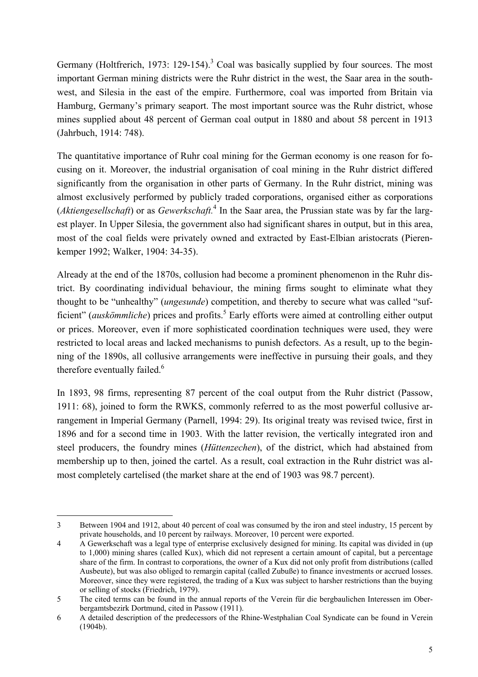Germany (Holtfrerich, 1973: 129-154).<sup>3</sup> Coal was basically supplied by four sources. The most important German mining districts were the Ruhr district in the west, the Saar area in the southwest, and Silesia in the east of the empire. Furthermore, coal was imported from Britain via Hamburg, Germany's primary seaport. The most important source was the Ruhr district, whose mines supplied about 48 percent of German coal output in 1880 and about 58 percent in 1913 (Jahrbuch, 1914: 748).

The quantitative importance of Ruhr coal mining for the German economy is one reason for focusing on it. Moreover, the industrial organisation of coal mining in the Ruhr district differed significantly from the organisation in other parts of Germany. In the Ruhr district, mining was almost exclusively performed by publicly traded corporations, organised either as corporations (*Aktiengesellschaft*) or as *Gewerkschaft*.<sup>4</sup> In the Saar area, the Prussian state was by far the largest player. In Upper Silesia, the government also had significant shares in output, but in this area, most of the coal fields were privately owned and extracted by East-Elbian aristocrats (Pierenkemper 1992; Walker, 1904: 34-35).

Already at the end of the 1870s, collusion had become a prominent phenomenon in the Ruhr district. By coordinating individual behaviour, the mining firms sought to eliminate what they thought to be "unhealthy" (*ungesunde*) competition, and thereby to secure what was called "sufficient" (*auskömmliche*) prices and profits.<sup>5</sup> Early efforts were aimed at controlling either output or prices. Moreover, even if more sophisticated coordination techniques were used, they were restricted to local areas and lacked mechanisms to punish defectors. As a result, up to the beginning of the 1890s, all collusive arrangements were ineffective in pursuing their goals, and they therefore eventually failed.<sup>6</sup>

In 1893, 98 firms, representing 87 percent of the coal output from the Ruhr district (Passow, 1911: 68), joined to form the RWKS, commonly referred to as the most powerful collusive arrangement in Imperial Germany (Parnell, 1994: 29). Its original treaty was revised twice, first in 1896 and for a second time in 1903. With the latter revision, the vertically integrated iron and steel producers, the foundry mines (*Hüttenzechen*), of the district, which had abstained from membership up to then, joined the cartel. As a result, coal extraction in the Ruhr district was almost completely cartelised (the market share at the end of 1903 was 98.7 percent).

<sup>3</sup> Between 1904 and 1912, about 40 percent of coal was consumed by the iron and steel industry, 15 percent by private households, and 10 percent by railways. Moreover, 10 percent were exported.

<sup>4</sup> A Gewerkschaft was a legal type of enterprise exclusively designed for mining. Its capital was divided in (up to 1,000) mining shares (called Kux), which did not represent a certain amount of capital, but a percentage share of the firm. In contrast to corporations, the owner of a Kux did not only profit from distributions (called Ausbeute), but was also obliged to remargin capital (called Zubuße) to finance investments or accrued losses. Moreover, since they were registered, the trading of a Kux was subject to harsher restrictions than the buying or selling of stocks (Friedrich, 1979).

<sup>5</sup> The cited terms can be found in the annual reports of the Verein für die bergbaulichen Interessen im Oberbergamtsbezirk Dortmund, cited in Passow (1911).

<sup>6</sup> A detailed description of the predecessors of the Rhine-Westphalian Coal Syndicate can be found in Verein (1904b).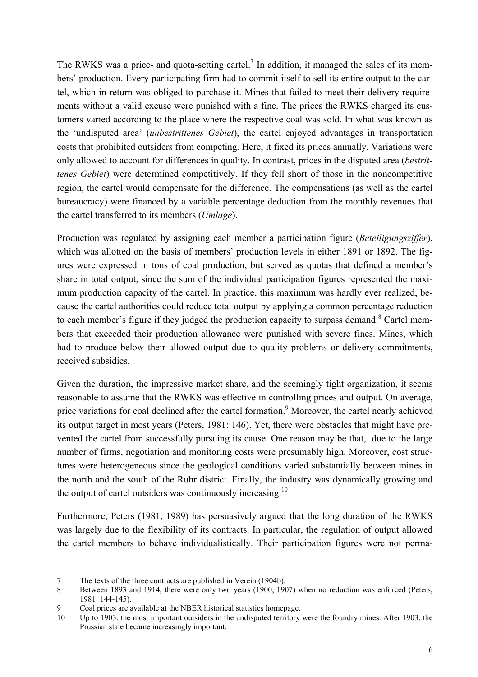The RWKS was a price- and quota-setting cartel.<sup>7</sup> In addition, it managed the sales of its members' production. Every participating firm had to commit itself to sell its entire output to the cartel, which in return was obliged to purchase it. Mines that failed to meet their delivery requirements without a valid excuse were punished with a fine. The prices the RWKS charged its customers varied according to the place where the respective coal was sold. In what was known as the 'undisputed area' (*unbestrittenes Gebiet*), the cartel enjoyed advantages in transportation costs that prohibited outsiders from competing. Here, it fixed its prices annually. Variations were only allowed to account for differences in quality. In contrast, prices in the disputed area (*bestrittenes Gebiet*) were determined competitively. If they fell short of those in the noncompetitive region, the cartel would compensate for the difference. The compensations (as well as the cartel bureaucracy) were financed by a variable percentage deduction from the monthly revenues that the cartel transferred to its members (*Umlage*).

Production was regulated by assigning each member a participation figure (*Beteiligungsziffer*), which was allotted on the basis of members' production levels in either 1891 or 1892. The figures were expressed in tons of coal production, but served as quotas that defined a member's share in total output, since the sum of the individual participation figures represented the maximum production capacity of the cartel. In practice, this maximum was hardly ever realized, because the cartel authorities could reduce total output by applying a common percentage reduction to each member's figure if they judged the production capacity to surpass demand.<sup>8</sup> Cartel members that exceeded their production allowance were punished with severe fines. Mines, which had to produce below their allowed output due to quality problems or delivery commitments, received subsidies.

Given the duration, the impressive market share, and the seemingly tight organization, it seems reasonable to assume that the RWKS was effective in controlling prices and output. On average, price variations for coal declined after the cartel formation.<sup>9</sup> Moreover, the cartel nearly achieved its output target in most years (Peters, 1981: 146). Yet, there were obstacles that might have prevented the cartel from successfully pursuing its cause. One reason may be that, due to the large number of firms, negotiation and monitoring costs were presumably high. Moreover, cost structures were heterogeneous since the geological conditions varied substantially between mines in the north and the south of the Ruhr district. Finally, the industry was dynamically growing and the output of cartel outsiders was continuously increasing.<sup>10</sup>

Furthermore, Peters (1981, 1989) has persuasively argued that the long duration of the RWKS was largely due to the flexibility of its contracts. In particular, the regulation of output allowed the cartel members to behave individualistically. Their participation figures were not perma-

<sup>7</sup> The texts of the three contracts are published in Verein (1904b).

<sup>8</sup> Between 1893 and 1914, there were only two years (1900, 1907) when no reduction was enforced (Peters, 1981: 144-145).

<sup>9</sup> Coal prices are available at the NBER historical statistics homepage.

<sup>10</sup> Up to 1903, the most important outsiders in the undisputed territory were the foundry mines. After 1903, the Prussian state became increasingly important.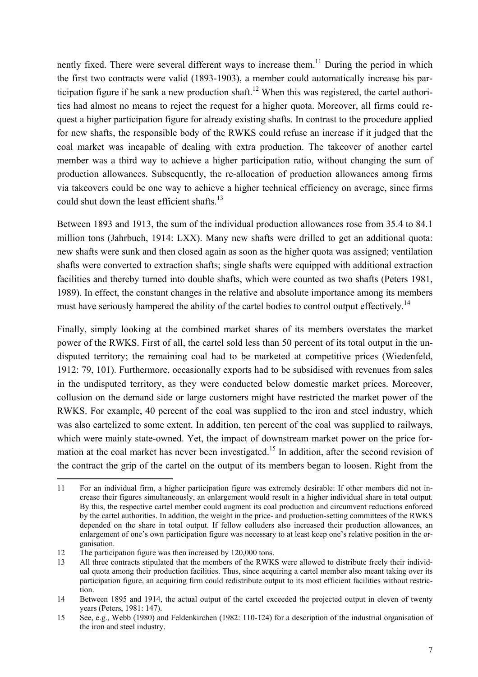nently fixed. There were several different ways to increase them.<sup>11</sup> During the period in which the first two contracts were valid (1893-1903), a member could automatically increase his participation figure if he sank a new production shaft.<sup>12</sup> When this was registered, the cartel authorities had almost no means to reject the request for a higher quota. Moreover, all firms could request a higher participation figure for already existing shafts. In contrast to the procedure applied for new shafts, the responsible body of the RWKS could refuse an increase if it judged that the coal market was incapable of dealing with extra production. The takeover of another cartel member was a third way to achieve a higher participation ratio, without changing the sum of production allowances. Subsequently, the re-allocation of production allowances among firms via takeovers could be one way to achieve a higher technical efficiency on average, since firms could shut down the least efficient shafts $^{13}$ .

Between 1893 and 1913, the sum of the individual production allowances rose from 35.4 to 84.1 million tons (Jahrbuch, 1914: LXX). Many new shafts were drilled to get an additional quota: new shafts were sunk and then closed again as soon as the higher quota was assigned; ventilation shafts were converted to extraction shafts; single shafts were equipped with additional extraction facilities and thereby turned into double shafts, which were counted as two shafts (Peters 1981, 1989). In effect, the constant changes in the relative and absolute importance among its members must have seriously hampered the ability of the cartel bodies to control output effectively.<sup>14</sup>

Finally, simply looking at the combined market shares of its members overstates the market power of the RWKS. First of all, the cartel sold less than 50 percent of its total output in the undisputed territory; the remaining coal had to be marketed at competitive prices (Wiedenfeld, 1912: 79, 101). Furthermore, occasionally exports had to be subsidised with revenues from sales in the undisputed territory, as they were conducted below domestic market prices. Moreover, collusion on the demand side or large customers might have restricted the market power of the RWKS. For example, 40 percent of the coal was supplied to the iron and steel industry, which was also cartelized to some extent. In addition, ten percent of the coal was supplied to railways, which were mainly state-owned. Yet, the impact of downstream market power on the price formation at the coal market has never been investigated.<sup>15</sup> In addition, after the second revision of the contract the grip of the cartel on the output of its members began to loosen. Right from the

j

<sup>11</sup> For an individual firm, a higher participation figure was extremely desirable: If other members did not increase their figures simultaneously, an enlargement would result in a higher individual share in total output. By this, the respective cartel member could augment its coal production and circumvent reductions enforced by the cartel authorities. In addition, the weight in the price- and production-setting committees of the RWKS depended on the share in total output. If fellow colluders also increased their production allowances, an enlargement of one's own participation figure was necessary to at least keep one's relative position in the organisation.

<sup>12</sup> The participation figure was then increased by 120,000 tons.

<sup>13</sup> All three contracts stipulated that the members of the RWKS were allowed to distribute freely their individual quota among their production facilities. Thus, since acquiring a cartel member also meant taking over its participation figure, an acquiring firm could redistribute output to its most efficient facilities without restriction.

<sup>14</sup> Between 1895 and 1914, the actual output of the cartel exceeded the projected output in eleven of twenty years (Peters, 1981: 147).

<sup>15</sup> See, e.g., Webb (1980) and Feldenkirchen (1982: 110-124) for a description of the industrial organisation of the iron and steel industry.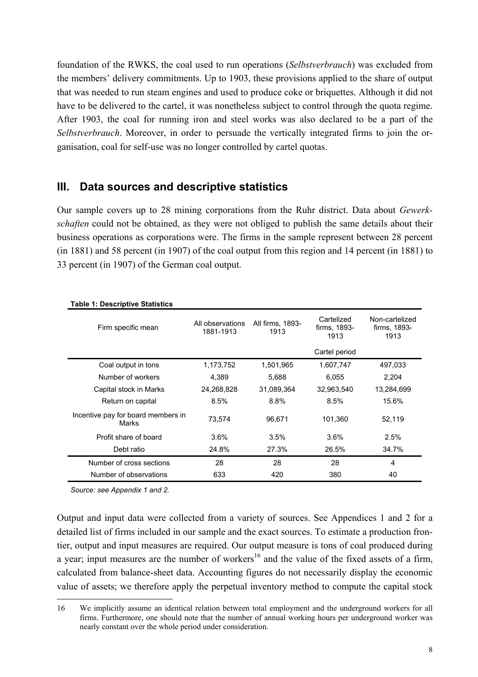foundation of the RWKS, the coal used to run operations (*Selbstverbrauch*) was excluded from the members' delivery commitments. Up to 1903, these provisions applied to the share of output that was needed to run steam engines and used to produce coke or briquettes. Although it did not have to be delivered to the cartel, it was nonetheless subject to control through the quota regime. After 1903, the coal for running iron and steel works was also declared to be a part of the *Selbstverbrauch*. Moreover, in order to persuade the vertically integrated firms to join the organisation, coal for self-use was no longer controlled by cartel quotas.

### **III. Data sources and descriptive statistics**

Our sample covers up to 28 mining corporations from the Ruhr district. Data about *Gewerkschaften* could not be obtained, as they were not obliged to publish the same details about their business operations as corporations were. The firms in the sample represent between 28 percent (in 1881) and 58 percent (in 1907) of the coal output from this region and 14 percent (in 1881) to 33 percent (in 1907) of the German coal output.

| Table T. Descriptive Statistics             |                               |                          |                                    |                                        |
|---------------------------------------------|-------------------------------|--------------------------|------------------------------------|----------------------------------------|
| Firm specific mean                          | All observations<br>1881-1913 | All firms, 1893-<br>1913 | Cartelized<br>firms, 1893-<br>1913 | Non-cartelized<br>firms, 1893-<br>1913 |
|                                             |                               |                          | Cartel period                      |                                        |
| Coal output in tons                         | 1,173,752                     | 1,501,965                | 1,607,747                          | 497,033                                |
| Number of workers                           | 4,389                         | 5,688                    | 6,055                              | 2,204                                  |
| Capital stock in Marks                      | 24,268,828                    | 31,089,364               | 32,963,540                         | 13,284,699                             |
| Return on capital                           | 8.5%                          | 8.8%                     | 8.5%                               | 15.6%                                  |
| Incentive pay for board members in<br>Marks | 73,574                        | 96,671                   | 101,360                            | 52,119                                 |
| Profit share of board                       | 3.6%                          | 3.5%                     | 3.6%                               | 2.5%                                   |
| Debt ratio                                  | 24.8%                         | 27.3%                    | 26.5%                              | 34.7%                                  |
| Number of cross sections                    | 28                            | 28                       | 28                                 | 4                                      |
| Number of observations                      | 633                           | 420                      | 380                                | 40                                     |

### **Table 1: Descriptive Statistics**

*Source: see Appendix 1 and 2.* 

-

Output and input data were collected from a variety of sources. See Appendices 1 and 2 for a detailed list of firms included in our sample and the exact sources. To estimate a production frontier, output and input measures are required. Our output measure is tons of coal produced during a year; input measures are the number of workers<sup>16</sup> and the value of the fixed assets of a firm, calculated from balance-sheet data. Accounting figures do not necessarily display the economic value of assets; we therefore apply the perpetual inventory method to compute the capital stock

<sup>16</sup> We implicitly assume an identical relation between total employment and the underground workers for all firms. Furthermore, one should note that the number of annual working hours per underground worker was nearly constant over the whole period under consideration.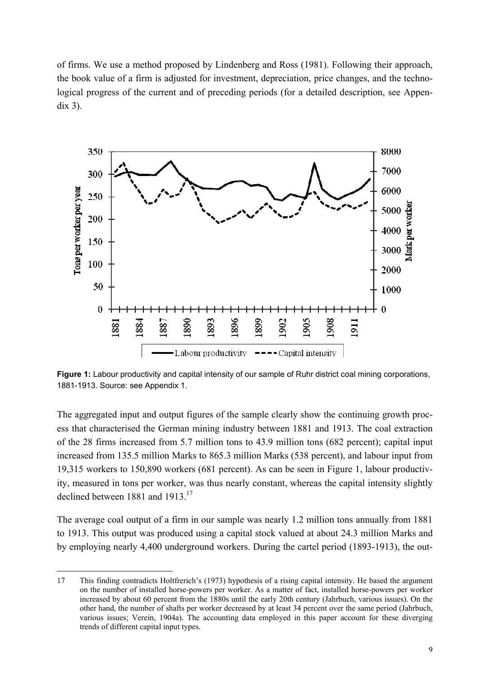of firms. We use a method proposed by Lindenberg and Ross (1981). Following their approach, the book value of a firm is adjusted for investment, depreciation, price changes, and the technological progress of the current and of preceding periods (for a detailed description, see Appendix 3).



**Figure 1:** Labour productivity and capital intensity of our sample of Ruhr district coal mining corporations, 1881-1913. Source: see Appendix 1.

The aggregated input and output figures of the sample clearly show the continuing growth process that characterised the German mining industry between 1881 and 1913. The coal extraction of the 28 firms increased from 5.7 million tons to 43.9 million tons (682 percent); capital input increased from 135.5 million Marks to 865.3 million Marks (538 percent), and labour input from 19,315 workers to 150,890 workers (681 percent). As can be seen in Figure 1, labour productivity, measured in tons per worker, was thus nearly constant, whereas the capital intensity slightly declined between 1881 and 1913.17

The average coal output of a firm in our sample was nearly 1.2 million tons annually from 1881 to 1913. This output was produced using a capital stock valued at about 24.3 million Marks and by employing nearly 4,400 underground workers. During the cartel period (1893-1913), the out-

<sup>17</sup> This finding contradicts Holtfrerich's (1973) hypothesis of a rising capital intensity. He based the argument on the number of installed horse-powers per worker. As a matter of fact, installed horse-powers per worker increased by about 60 percent from the 1880s until the early 20th century (Jahrbuch, various issues). On the other hand, the number of shafts per worker decreased by at least 34 percent over the same period (Jahrbuch, various issues; Verein, 1904a). The accounting data employed in this paper account for these diverging trends of different capital input types.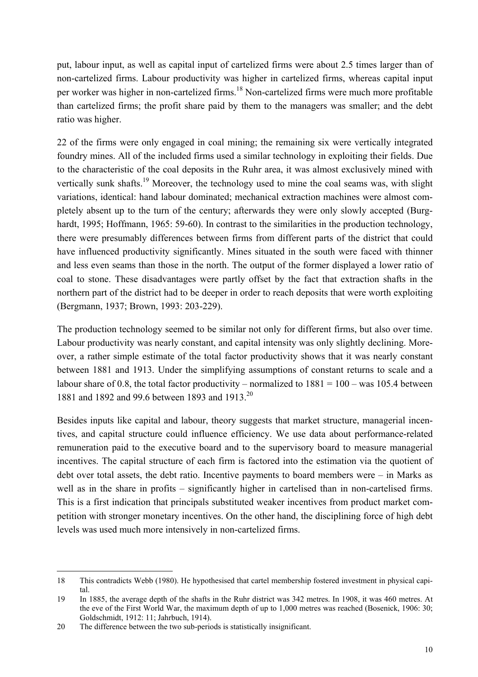put, labour input, as well as capital input of cartelized firms were about 2.5 times larger than of non-cartelized firms. Labour productivity was higher in cartelized firms, whereas capital input per worker was higher in non-cartelized firms.18 Non-cartelized firms were much more profitable than cartelized firms; the profit share paid by them to the managers was smaller; and the debt ratio was higher.

22 of the firms were only engaged in coal mining; the remaining six were vertically integrated foundry mines. All of the included firms used a similar technology in exploiting their fields. Due to the characteristic of the coal deposits in the Ruhr area, it was almost exclusively mined with vertically sunk shafts.<sup>19</sup> Moreover, the technology used to mine the coal seams was, with slight variations, identical: hand labour dominated; mechanical extraction machines were almost completely absent up to the turn of the century; afterwards they were only slowly accepted (Burghardt, 1995; Hoffmann, 1965: 59-60). In contrast to the similarities in the production technology, there were presumably differences between firms from different parts of the district that could have influenced productivity significantly. Mines situated in the south were faced with thinner and less even seams than those in the north. The output of the former displayed a lower ratio of coal to stone. These disadvantages were partly offset by the fact that extraction shafts in the northern part of the district had to be deeper in order to reach deposits that were worth exploiting (Bergmann, 1937; Brown, 1993: 203-229).

The production technology seemed to be similar not only for different firms, but also over time. Labour productivity was nearly constant, and capital intensity was only slightly declining. Moreover, a rather simple estimate of the total factor productivity shows that it was nearly constant between 1881 and 1913. Under the simplifying assumptions of constant returns to scale and a labour share of 0.8, the total factor productivity – normalized to  $1881 = 100$  – was 105.4 between 1881 and 1892 and 99.6 between 1893 and 1913.<sup>20</sup>

Besides inputs like capital and labour, theory suggests that market structure, managerial incentives, and capital structure could influence efficiency. We use data about performance-related remuneration paid to the executive board and to the supervisory board to measure managerial incentives. The capital structure of each firm is factored into the estimation via the quotient of debt over total assets, the debt ratio. Incentive payments to board members were – in Marks as well as in the share in profits – significantly higher in cartelised than in non-cartelised firms. This is a first indication that principals substituted weaker incentives from product market competition with stronger monetary incentives. On the other hand, the disciplining force of high debt levels was used much more intensively in non-cartelized firms.

<sup>18</sup> This contradicts Webb (1980). He hypothesised that cartel membership fostered investment in physical capital.

<sup>19</sup> In 1885, the average depth of the shafts in the Ruhr district was 342 metres. In 1908, it was 460 metres. At the eve of the First World War, the maximum depth of up to 1,000 metres was reached (Bosenick, 1906: 30; Goldschmidt, 1912: 11; Jahrbuch, 1914).

<sup>20</sup> The difference between the two sub-periods is statistically insignificant.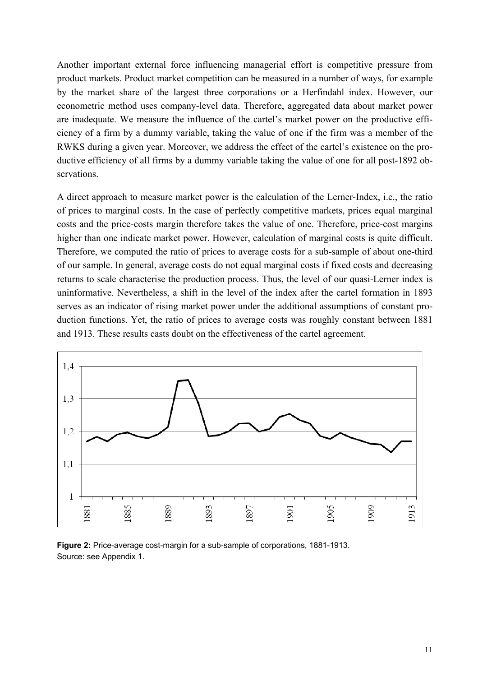Another important external force influencing managerial effort is competitive pressure from product markets. Product market competition can be measured in a number of ways, for example by the market share of the largest three corporations or a Herfindahl index. However, our econometric method uses company-level data. Therefore, aggregated data about market power are inadequate. We measure the influence of the cartel's market power on the productive efficiency of a firm by a dummy variable, taking the value of one if the firm was a member of the RWKS during a given year. Moreover, we address the effect of the cartel's existence on the productive efficiency of all firms by a dummy variable taking the value of one for all post-1892 observations.

A direct approach to measure market power is the calculation of the Lerner-Index, i.e., the ratio of prices to marginal costs. In the case of perfectly competitive markets, prices equal marginal costs and the price-costs margin therefore takes the value of one. Therefore, price-cost margins higher than one indicate market power. However, calculation of marginal costs is quite difficult. Therefore, we computed the ratio of prices to average costs for a sub-sample of about one-third of our sample. In general, average costs do not equal marginal costs if fixed costs and decreasing returns to scale characterise the production process. Thus, the level of our quasi-Lerner index is uninformative. Nevertheless, a shift in the level of the index after the cartel formation in 1893 serves as an indicator of rising market power under the additional assumptions of constant production functions. Yet, the ratio of prices to average costs was roughly constant between 1881 and 1913. These results casts doubt on the effectiveness of the cartel agreement.



**Figure 2:** Price-average cost-margin for a sub-sample of corporations, 1881-1913. Source: see Appendix 1.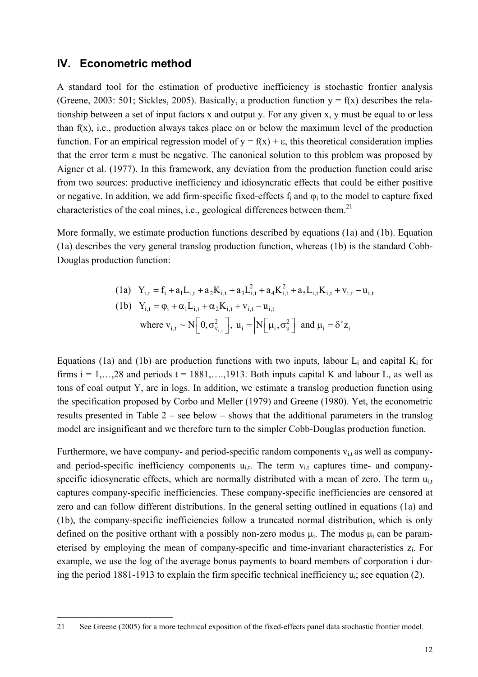### **IV. Econometric method**

j

A standard tool for the estimation of productive inefficiency is stochastic frontier analysis (Greene, 2003: 501; Sickles, 2005). Basically, a production function  $y = f(x)$  describes the relationship between a set of input factors x and output y. For any given x, y must be equal to or less than f(x), i.e., production always takes place on or below the maximum level of the production function. For an empirical regression model of  $y = f(x) + \varepsilon$ , this theoretical consideration implies that the error term ε must be negative. The canonical solution to this problem was proposed by Aigner et al. (1977). In this framework, any deviation from the production function could arise from two sources: productive inefficiency and idiosyncratic effects that could be either positive or negative. In addition, we add firm-specific fixed-effects  $f_i$  and  $\varphi_i$  to the model to capture fixed characteristics of the coal mines, i.e., geological differences between them.<sup>21</sup>

More formally, we estimate production functions described by equations (1a) and (1b). Equation (1a) describes the very general translog production function, whereas (1b) is the standard Cobb-Douglas production function:

(1a) 
$$
Y_{i,t} = f_i + a_1 L_{i,t} + a_2 K_{i,t} + a_3 L_{i,t}^2 + a_4 K_{i,t}^2 + a_5 L_{i,t} K_{i,t} + v_{i,t} - u_{i,t}
$$
  
\n(1b)  $Y_{i,t} = \varphi_i + \alpha_1 L_{i,t} + \alpha_2 K_{i,t} + v_{i,t} - u_{i,t}$   
\nwhere  $v_{i,t} \sim N\left[0, \sigma_{v_{i,t}}^2\right], u_i = \left|N\left[\mu_i, \sigma_u^2\right]\right|$  and  $\mu_i = \delta' z_i$ 

Equations (1a) and (1b) are production functions with two inputs, labour  $L_i$  and capital  $K_i$  for firms  $i = 1, \ldots, 28$  and periods  $t = 1881, \ldots, 1913$ . Both inputs capital K and labour L, as well as tons of coal output Y, are in logs. In addition, we estimate a translog production function using the specification proposed by Corbo and Meller (1979) and Greene (1980). Yet, the econometric results presented in Table 2 – see below – shows that the additional parameters in the translog model are insignificant and we therefore turn to the simpler Cobb-Douglas production function.

Furthermore, we have company- and period-specific random components  $v_{i,t}$  as well as companyand period-specific inefficiency components  $u_{i,t}$ . The term  $v_{i,t}$  captures time- and companyspecific idiosyncratic effects, which are normally distributed with a mean of zero. The term  $u_{i,t}$ captures company-specific inefficiencies. These company-specific inefficiencies are censored at zero and can follow different distributions. In the general setting outlined in equations (1a) and (1b), the company-specific inefficiencies follow a truncated normal distribution, which is only defined on the positive orthant with a possibly non-zero modus  $\mu_i$ . The modus  $\mu_i$  can be parameterised by employing the mean of company-specific and time-invariant characteristics zi. For example, we use the log of the average bonus payments to board members of corporation i during the period 1881-1913 to explain the firm specific technical inefficiency ui; see equation (2).

<sup>21</sup> See Greene (2005) for a more technical exposition of the fixed-effects panel data stochastic frontier model.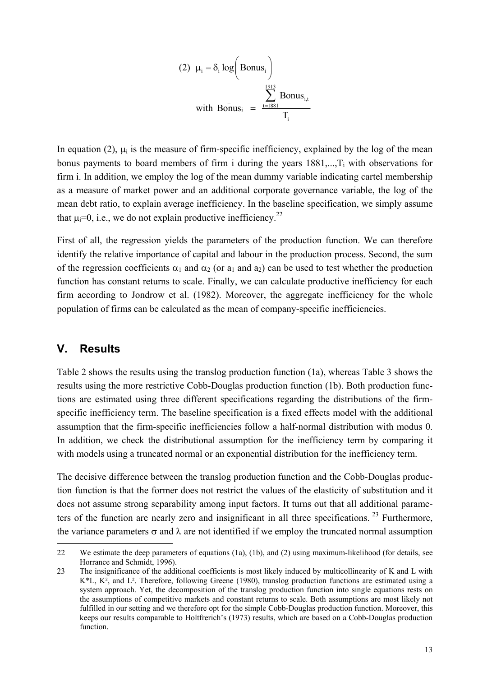(2) 
$$
\mu_i = \delta_i \log \left( \text{Bonus}_i \right)
$$
  
with  $\text{Bonus}_i = \frac{\sum_{t=1881}^{1913} \text{Bonus}_{i,t}}{T_i}$ 

In equation (2),  $\mu_i$  is the measure of firm-specific inefficiency, explained by the log of the mean bonus payments to board members of firm i during the years  $1881,...,T_i$  with observations for firm i. In addition, we employ the log of the mean dummy variable indicating cartel membership as a measure of market power and an additional corporate governance variable, the log of the mean debt ratio, to explain average inefficiency. In the baseline specification, we simply assume that  $\mu_i=0$ , i.e., we do not explain productive inefficiency.<sup>22</sup>

First of all, the regression yields the parameters of the production function. We can therefore identify the relative importance of capital and labour in the production process. Second, the sum of the regression coefficients  $\alpha_1$  and  $\alpha_2$  (or  $a_1$  and  $a_2$ ) can be used to test whether the production function has constant returns to scale. Finally, we can calculate productive inefficiency for each firm according to Jondrow et al. (1982). Moreover, the aggregate inefficiency for the whole population of firms can be calculated as the mean of company-specific inefficiencies.

### **V. Results**

 $\overline{a}$ 

Table 2 shows the results using the translog production function (1a), whereas Table 3 shows the results using the more restrictive Cobb-Douglas production function (1b). Both production functions are estimated using three different specifications regarding the distributions of the firmspecific inefficiency term. The baseline specification is a fixed effects model with the additional assumption that the firm-specific inefficiencies follow a half-normal distribution with modus 0. In addition, we check the distributional assumption for the inefficiency term by comparing it with models using a truncated normal or an exponential distribution for the inefficiency term.

The decisive difference between the translog production function and the Cobb-Douglas production function is that the former does not restrict the values of the elasticity of substitution and it does not assume strong separability among input factors. It turns out that all additional parameters of the function are nearly zero and insignificant in all three specifications.<sup>23</sup> Furthermore, the variance parameters  $\sigma$  and  $\lambda$  are not identified if we employ the truncated normal assumption

<sup>22</sup> We estimate the deep parameters of equations (1a), (1b), and (2) using maximum-likelihood (for details, see Horrance and Schmidt, 1996).

<sup>23</sup> The insignificance of the additional coefficients is most likely induced by multicollinearity of K and L with  $K^*$ L,  $K^2$ , and L<sup>2</sup>. Therefore, following Greene (1980), translog production functions are estimated using a system approach. Yet, the decomposition of the translog production function into single equations rests on the assumptions of competitive markets and constant returns to scale. Both assumptions are most likely not fulfilled in our setting and we therefore opt for the simple Cobb-Douglas production function. Moreover, this keeps our results comparable to Holtfrerich's (1973) results, which are based on a Cobb-Douglas production function.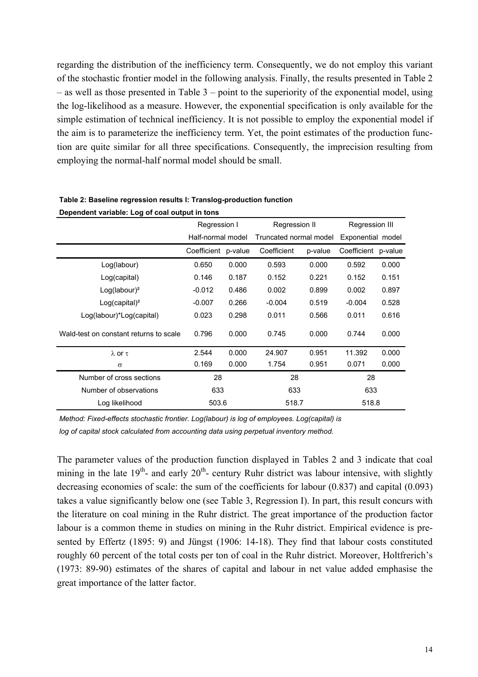regarding the distribution of the inefficiency term. Consequently, we do not employ this variant of the stochastic frontier model in the following analysis. Finally, the results presented in Table 2 – as well as those presented in Table 3 – point to the superiority of the exponential model, using the log-likelihood as a measure. However, the exponential specification is only available for the simple estimation of technical inefficiency. It is not possible to employ the exponential model if the aim is to parameterize the inefficiency term. Yet, the point estimates of the production function are quite similar for all three specifications. Consequently, the imprecision resulting from employing the normal-half normal model should be small.

|                                        | Regression I        |       | Regression II          |         | Regression III      |       |
|----------------------------------------|---------------------|-------|------------------------|---------|---------------------|-------|
|                                        | Half-normal model   |       | Truncated normal model |         | Exponential model   |       |
|                                        | Coefficient p-value |       | Coefficient            | p-value | Coefficient p-value |       |
| Log(labour)                            | 0.650               | 0.000 | 0.593                  | 0.000   | 0.592               | 0.000 |
| Log(capital)                           | 0.146               | 0.187 | 0.152                  | 0.221   | 0.152               | 0.151 |
| $Log(labour)^2$                        | $-0.012$            | 0.486 | 0.002                  | 0.899   | 0.002               | 0.897 |
| Log(capital) <sup>2</sup>              | $-0.007$            | 0.266 | $-0.004$               | 0.519   | $-0.004$            | 0.528 |
| Log(labour)*Log(capital)               | 0.023               | 0.298 | 0.011                  | 0.566   | 0.011               | 0.616 |
| Wald-test on constant returns to scale | 0.796               | 0.000 | 0.745                  | 0.000   | 0.744               | 0.000 |
| $\lambda$ or $\tau$                    | 2.544               | 0.000 | 24.907                 | 0.951   | 11.392              | 0.000 |
| $\sigma$                               | 0.169               | 0.000 | 1.754                  | 0.951   | 0.071               | 0.000 |
| Number of cross sections               | 28                  |       | 28                     |         | 28                  |       |
| Number of observations                 | 633                 |       | 633                    |         | 633                 |       |
| Log likelihood                         | 503.6               |       | 518.7                  |         | 518.8               |       |

**Table 2: Baseline regression results I: Translog-production function Dependent variable: Log of coal output in tons** 

*Method: Fixed-effects stochastic frontier. Log(labour) is log of employees. Log(capital) is log of capital stock calculated from accounting data using perpetual inventory method.* 

The parameter values of the production function displayed in Tables 2 and 3 indicate that coal mining in the late  $19^{th}$ - and early  $20^{th}$ - century Ruhr district was labour intensive, with slightly decreasing economies of scale: the sum of the coefficients for labour (0.837) and capital (0.093) takes a value significantly below one (see Table 3, Regression I). In part, this result concurs with the literature on coal mining in the Ruhr district. The great importance of the production factor labour is a common theme in studies on mining in the Ruhr district. Empirical evidence is presented by Effertz (1895: 9) and Jüngst (1906: 14-18). They find that labour costs constituted roughly 60 percent of the total costs per ton of coal in the Ruhr district. Moreover, Holtfrerich's (1973: 89-90) estimates of the shares of capital and labour in net value added emphasise the great importance of the latter factor.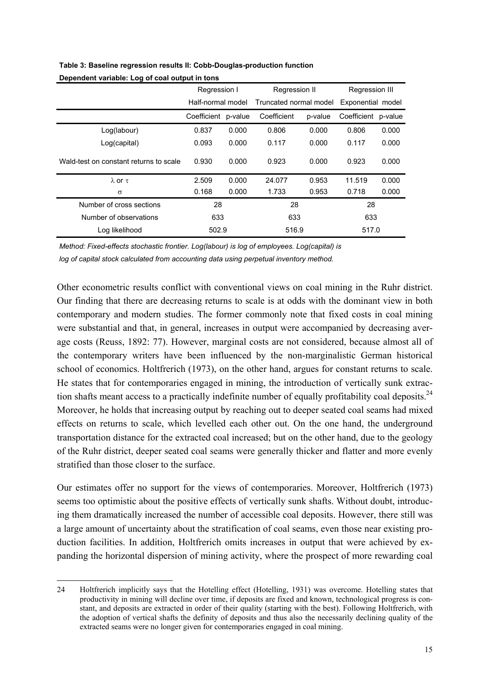|                                        | Regression I      |         | Regression II          |         | Regression III    |         |
|----------------------------------------|-------------------|---------|------------------------|---------|-------------------|---------|
|                                        | Half-normal model |         | Truncated normal model |         | Exponential model |         |
|                                        | Coefficient       | p-value | Coefficient            | p-value | Coefficient       | p-value |
| Log(labour)                            | 0.837             | 0.000   | 0.806                  | 0.000   | 0.806             | 0.000   |
| Log(capital)                           | 0.093             | 0.000   | 0.117                  | 0.000   | 0.117             | 0.000   |
| Wald-test on constant returns to scale | 0.930             | 0.000   | 0.923                  | 0.000   | 0.923             | 0.000   |
| $\lambda$ or $\tau$                    | 2.509             | 0.000   | 24.077                 | 0.953   | 11.519            | 0.000   |
| $\sigma$                               | 0.168             | 0.000   | 1.733                  | 0.953   | 0.718             | 0.000   |
| Number of cross sections               | 28                |         | 28                     |         | 28                |         |
| Number of observations                 | 633               |         | 633                    |         | 633               |         |
| Log likelihood                         | 502.9             |         | 516.9                  |         | 517.0             |         |

**Table 3: Baseline regression results II: Cobb-Douglas-production function Dependent variable: Log of coal output in tons** 

*Method: Fixed-effects stochastic frontier. Log(labour) is log of employees. Log(capital) is log of capital stock calculated from accounting data using perpetual inventory method.* 

Other econometric results conflict with conventional views on coal mining in the Ruhr district. Our finding that there are decreasing returns to scale is at odds with the dominant view in both contemporary and modern studies. The former commonly note that fixed costs in coal mining were substantial and that, in general, increases in output were accompanied by decreasing average costs (Reuss, 1892: 77). However, marginal costs are not considered, because almost all of the contemporary writers have been influenced by the non-marginalistic German historical school of economics. Holtfrerich (1973), on the other hand, argues for constant returns to scale. He states that for contemporaries engaged in mining, the introduction of vertically sunk extraction shafts meant access to a practically indefinite number of equally profitability coal deposits.  $24$ Moreover, he holds that increasing output by reaching out to deeper seated coal seams had mixed effects on returns to scale, which levelled each other out. On the one hand, the underground transportation distance for the extracted coal increased; but on the other hand, due to the geology of the Ruhr district, deeper seated coal seams were generally thicker and flatter and more evenly stratified than those closer to the surface.

Our estimates offer no support for the views of contemporaries. Moreover, Holtfrerich (1973) seems too optimistic about the positive effects of vertically sunk shafts. Without doubt, introducing them dramatically increased the number of accessible coal deposits. However, there still was a large amount of uncertainty about the stratification of coal seams, even those near existing production facilities. In addition, Holtfrerich omits increases in output that were achieved by expanding the horizontal dispersion of mining activity, where the prospect of more rewarding coal

<sup>24</sup> Holtfrerich implicitly says that the Hotelling effect (Hotelling, 1931) was overcome. Hotelling states that productivity in mining will decline over time, if deposits are fixed and known, technological progress is constant, and deposits are extracted in order of their quality (starting with the best). Following Holtfrerich, with the adoption of vertical shafts the definity of deposits and thus also the necessarily declining quality of the extracted seams were no longer given for contemporaries engaged in coal mining.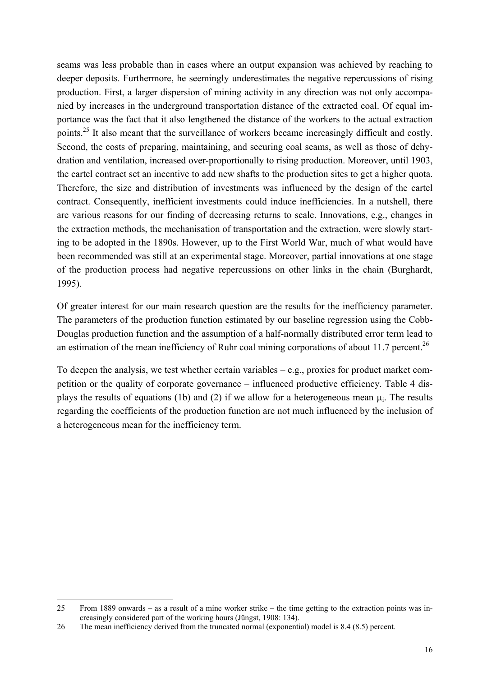seams was less probable than in cases where an output expansion was achieved by reaching to deeper deposits. Furthermore, he seemingly underestimates the negative repercussions of rising production. First, a larger dispersion of mining activity in any direction was not only accompanied by increases in the underground transportation distance of the extracted coal. Of equal importance was the fact that it also lengthened the distance of the workers to the actual extraction points.25 It also meant that the surveillance of workers became increasingly difficult and costly. Second, the costs of preparing, maintaining, and securing coal seams, as well as those of dehydration and ventilation, increased over-proportionally to rising production. Moreover, until 1903, the cartel contract set an incentive to add new shafts to the production sites to get a higher quota. Therefore, the size and distribution of investments was influenced by the design of the cartel contract. Consequently, inefficient investments could induce inefficiencies. In a nutshell, there are various reasons for our finding of decreasing returns to scale. Innovations, e.g., changes in the extraction methods, the mechanisation of transportation and the extraction, were slowly starting to be adopted in the 1890s. However, up to the First World War, much of what would have been recommended was still at an experimental stage. Moreover, partial innovations at one stage of the production process had negative repercussions on other links in the chain (Burghardt, 1995).

Of greater interest for our main research question are the results for the inefficiency parameter. The parameters of the production function estimated by our baseline regression using the Cobb-Douglas production function and the assumption of a half-normally distributed error term lead to an estimation of the mean inefficiency of Ruhr coal mining corporations of about 11.7 percent.<sup>26</sup>

To deepen the analysis, we test whether certain variables – e.g., proxies for product market competition or the quality of corporate governance – influenced productive efficiency. Table 4 displays the results of equations (1b) and (2) if we allow for a heterogeneous mean  $\mu_i$ . The results regarding the coefficients of the production function are not much influenced by the inclusion of a heterogeneous mean for the inefficiency term.

-

<sup>25</sup> From 1889 onwards – as a result of a mine worker strike – the time getting to the extraction points was increasingly considered part of the working hours (Jüngst, 1908: 134).

<sup>26</sup> The mean inefficiency derived from the truncated normal (exponential) model is 8.4 (8.5) percent.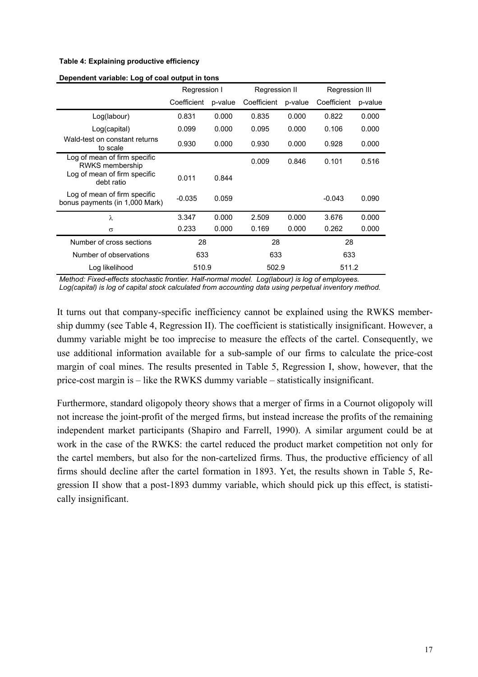#### **Table 4: Explaining productive efficiency**

| Dependent variable. Log or coal output in tons                                                | Regression I |         | Regression II |         | Regression III |         |
|-----------------------------------------------------------------------------------------------|--------------|---------|---------------|---------|----------------|---------|
|                                                                                               | Coefficient  | p-value | Coefficient   | p-value | Coefficient    | p-value |
| Log(labour)                                                                                   | 0.831        | 0.000   | 0.835         | 0.000   | 0.822          | 0.000   |
| Log(capital)                                                                                  | 0.099        | 0.000   | 0.095         | 0.000   | 0.106          | 0.000   |
| Wald-test on constant returns<br>to scale                                                     | 0.930        | 0.000   | 0.930         | 0.000   | 0.928          | 0.000   |
| Log of mean of firm specific<br>RWKS membership<br>Log of mean of firm specific<br>debt ratio | 0.011        | 0.844   | 0.009         | 0.846   | 0.101          | 0.516   |
| Log of mean of firm specific<br>bonus payments (in 1,000 Mark)                                | $-0.035$     | 0.059   |               |         | $-0.043$       | 0.090   |
| λ                                                                                             | 3.347        | 0.000   | 2.509         | 0.000   | 3.676          | 0.000   |
| $\sigma$                                                                                      | 0.233        | 0.000   | 0.169         | 0.000   | 0.262          | 0.000   |
| Number of cross sections                                                                      | 28           |         | 28            |         | 28             |         |
| Number of observations                                                                        | 633          |         | 633           |         | 633            |         |
| Log likelihood                                                                                | 510.9        |         | 502.9         |         | 511.2          |         |

#### **Dependent variable: Log of coal output in tons**

*Method: Fixed-effects stochastic frontier. Half-normal model. Log(labour) is log of employees. Log(capital) is log of capital stock calculated from accounting data using perpetual inventory method.* 

It turns out that company-specific inefficiency cannot be explained using the RWKS membership dummy (see Table 4, Regression II). The coefficient is statistically insignificant. However, a dummy variable might be too imprecise to measure the effects of the cartel. Consequently, we use additional information available for a sub-sample of our firms to calculate the price-cost margin of coal mines. The results presented in Table 5, Regression I, show, however, that the price-cost margin is – like the RWKS dummy variable – statistically insignificant.

Furthermore, standard oligopoly theory shows that a merger of firms in a Cournot oligopoly will not increase the joint-profit of the merged firms, but instead increase the profits of the remaining independent market participants (Shapiro and Farrell, 1990). A similar argument could be at work in the case of the RWKS: the cartel reduced the product market competition not only for the cartel members, but also for the non-cartelized firms. Thus, the productive efficiency of all firms should decline after the cartel formation in 1893. Yet, the results shown in Table 5, Regression II show that a post-1893 dummy variable, which should pick up this effect, is statistically insignificant.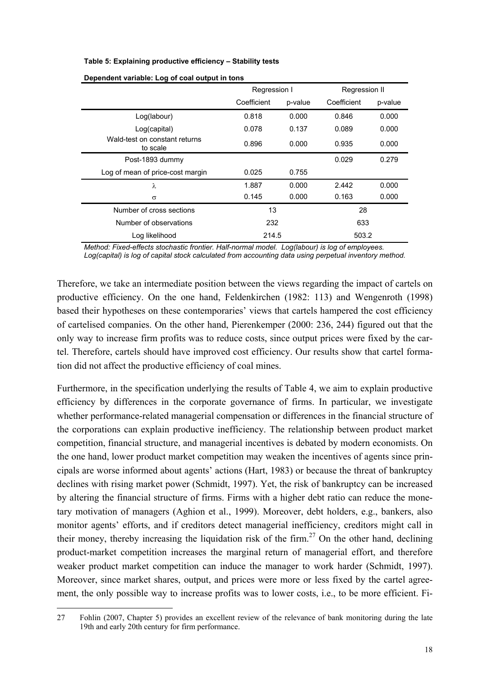#### **Table 5: Explaining productive efficiency – Stability tests**

|                                           |             | Regression I |             | Regression II |
|-------------------------------------------|-------------|--------------|-------------|---------------|
|                                           | Coefficient | p-value      | Coefficient | p-value       |
| Log(labour)                               | 0.818       | 0.000        | 0.846       | 0.000         |
| Log(capital)                              | 0.078       | 0.137        | 0.089       | 0.000         |
| Wald-test on constant returns<br>to scale | 0.896       | 0.000        | 0.935       | 0.000         |
| Post-1893 dummy                           |             |              | 0.029       | 0.279         |
| Log of mean of price-cost margin          | 0.025       | 0.755        |             |               |
| λ                                         | 1.887       | 0.000        | 2.442       | 0.000         |
| $\sigma$                                  | 0.145       | 0.000        | 0.163       | 0.000         |
| Number of cross sections                  | 13          |              | 28          |               |
| Number of observations                    |             | 232          |             | 633           |
| Log likelihood                            | 214.5       |              | 503.2       |               |

#### **Dependent variable: Log of coal output in tons**

*Method: Fixed-effects stochastic frontier. Half-normal model. Log(labour) is log of employees. Log(capital) is log of capital stock calculated from accounting data using perpetual inventory method.* 

Therefore, we take an intermediate position between the views regarding the impact of cartels on productive efficiency. On the one hand, Feldenkirchen (1982: 113) and Wengenroth (1998) based their hypotheses on these contemporaries' views that cartels hampered the cost efficiency of cartelised companies. On the other hand, Pierenkemper (2000: 236, 244) figured out that the only way to increase firm profits was to reduce costs, since output prices were fixed by the cartel. Therefore, cartels should have improved cost efficiency. Our results show that cartel formation did not affect the productive efficiency of coal mines.

Furthermore, in the specification underlying the results of Table 4, we aim to explain productive efficiency by differences in the corporate governance of firms. In particular, we investigate whether performance-related managerial compensation or differences in the financial structure of the corporations can explain productive inefficiency. The relationship between product market competition, financial structure, and managerial incentives is debated by modern economists. On the one hand, lower product market competition may weaken the incentives of agents since principals are worse informed about agents' actions (Hart, 1983) or because the threat of bankruptcy declines with rising market power (Schmidt, 1997). Yet, the risk of bankruptcy can be increased by altering the financial structure of firms. Firms with a higher debt ratio can reduce the monetary motivation of managers (Aghion et al., 1999). Moreover, debt holders, e.g., bankers, also monitor agents' efforts, and if creditors detect managerial inefficiency, creditors might call in their money, thereby increasing the liquidation risk of the firm.<sup>27</sup> On the other hand, declining product-market competition increases the marginal return of managerial effort, and therefore weaker product market competition can induce the manager to work harder (Schmidt, 1997). Moreover, since market shares, output, and prices were more or less fixed by the cartel agreement, the only possible way to increase profits was to lower costs, i.e., to be more efficient. Fi-

<sup>27</sup> Fohlin (2007, Chapter 5) provides an excellent review of the relevance of bank monitoring during the late 19th and early 20th century for firm performance.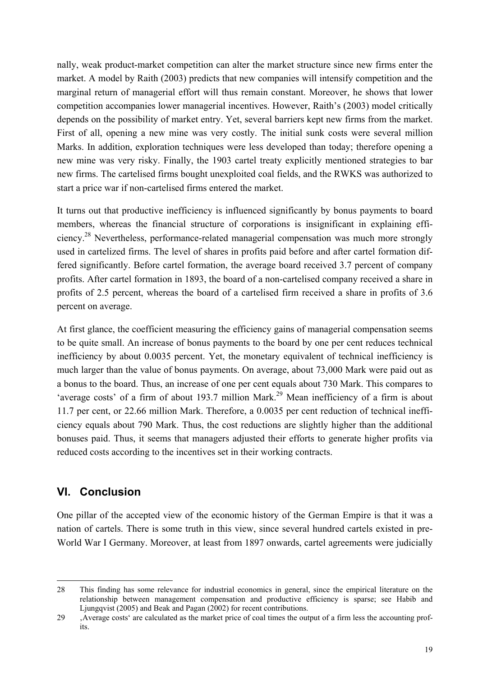nally, weak product-market competition can alter the market structure since new firms enter the market. A model by Raith (2003) predicts that new companies will intensify competition and the marginal return of managerial effort will thus remain constant. Moreover, he shows that lower competition accompanies lower managerial incentives. However, Raith's (2003) model critically depends on the possibility of market entry. Yet, several barriers kept new firms from the market. First of all, opening a new mine was very costly. The initial sunk costs were several million Marks. In addition, exploration techniques were less developed than today; therefore opening a new mine was very risky. Finally, the 1903 cartel treaty explicitly mentioned strategies to bar new firms. The cartelised firms bought unexploited coal fields, and the RWKS was authorized to start a price war if non-cartelised firms entered the market.

It turns out that productive inefficiency is influenced significantly by bonus payments to board members, whereas the financial structure of corporations is insignificant in explaining efficiency.28 Nevertheless, performance-related managerial compensation was much more strongly used in cartelized firms. The level of shares in profits paid before and after cartel formation differed significantly. Before cartel formation, the average board received 3.7 percent of company profits. After cartel formation in 1893, the board of a non-cartelised company received a share in profits of 2.5 percent, whereas the board of a cartelised firm received a share in profits of 3.6 percent on average.

At first glance, the coefficient measuring the efficiency gains of managerial compensation seems to be quite small. An increase of bonus payments to the board by one per cent reduces technical inefficiency by about 0.0035 percent. Yet, the monetary equivalent of technical inefficiency is much larger than the value of bonus payments. On average, about 73,000 Mark were paid out as a bonus to the board. Thus, an increase of one per cent equals about 730 Mark. This compares to 'average costs' of a firm of about 193.7 million Mark.<sup>29</sup> Mean inefficiency of a firm is about 11.7 per cent, or 22.66 million Mark. Therefore, a 0.0035 per cent reduction of technical inefficiency equals about 790 Mark. Thus, the cost reductions are slightly higher than the additional bonuses paid. Thus, it seems that managers adjusted their efforts to generate higher profits via reduced costs according to the incentives set in their working contracts.

## **VI. Conclusion**

 $\overline{a}$ 

One pillar of the accepted view of the economic history of the German Empire is that it was a nation of cartels. There is some truth in this view, since several hundred cartels existed in pre-World War I Germany. Moreover, at least from 1897 onwards, cartel agreements were judicially

<sup>28</sup> This finding has some relevance for industrial economics in general, since the empirical literature on the relationship between management compensation and productive efficiency is sparse; see Habib and Ljungqvist (2005) and Beak and Pagan (2002) for recent contributions.

<sup>29 .</sup> Average costs' are calculated as the market price of coal times the output of a firm less the accounting profits.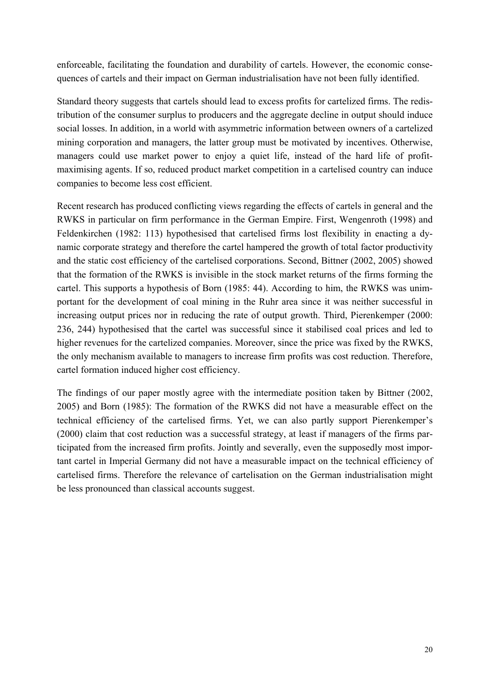enforceable, facilitating the foundation and durability of cartels. However, the economic consequences of cartels and their impact on German industrialisation have not been fully identified.

Standard theory suggests that cartels should lead to excess profits for cartelized firms. The redistribution of the consumer surplus to producers and the aggregate decline in output should induce social losses. In addition, in a world with asymmetric information between owners of a cartelized mining corporation and managers, the latter group must be motivated by incentives. Otherwise, managers could use market power to enjoy a quiet life, instead of the hard life of profitmaximising agents. If so, reduced product market competition in a cartelised country can induce companies to become less cost efficient.

Recent research has produced conflicting views regarding the effects of cartels in general and the RWKS in particular on firm performance in the German Empire. First, Wengenroth (1998) and Feldenkirchen (1982: 113) hypothesised that cartelised firms lost flexibility in enacting a dynamic corporate strategy and therefore the cartel hampered the growth of total factor productivity and the static cost efficiency of the cartelised corporations. Second, Bittner (2002, 2005) showed that the formation of the RWKS is invisible in the stock market returns of the firms forming the cartel. This supports a hypothesis of Born (1985: 44). According to him, the RWKS was unimportant for the development of coal mining in the Ruhr area since it was neither successful in increasing output prices nor in reducing the rate of output growth. Third, Pierenkemper (2000: 236, 244) hypothesised that the cartel was successful since it stabilised coal prices and led to higher revenues for the cartelized companies. Moreover, since the price was fixed by the RWKS, the only mechanism available to managers to increase firm profits was cost reduction. Therefore, cartel formation induced higher cost efficiency.

The findings of our paper mostly agree with the intermediate position taken by Bittner (2002, 2005) and Born (1985): The formation of the RWKS did not have a measurable effect on the technical efficiency of the cartelised firms. Yet, we can also partly support Pierenkemper's (2000) claim that cost reduction was a successful strategy, at least if managers of the firms participated from the increased firm profits. Jointly and severally, even the supposedly most important cartel in Imperial Germany did not have a measurable impact on the technical efficiency of cartelised firms. Therefore the relevance of cartelisation on the German industrialisation might be less pronounced than classical accounts suggest.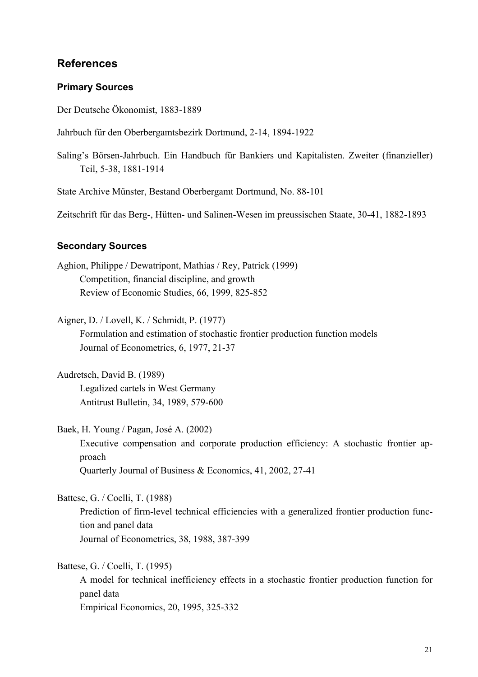### **References**

### **Primary Sources**

Der Deutsche Ökonomist, 1883-1889

Jahrbuch für den Oberbergamtsbezirk Dortmund, 2-14, 1894-1922

Saling's Börsen-Jahrbuch. Ein Handbuch für Bankiers und Kapitalisten. Zweiter (finanzieller) Teil, 5-38, 1881-1914

State Archive Münster, Bestand Oberbergamt Dortmund, No. 88-101

Zeitschrift für das Berg-, Hütten- und Salinen-Wesen im preussischen Staate, 30-41, 1882-1893

### **Secondary Sources**

Aghion, Philippe / Dewatripont, Mathias / Rey, Patrick (1999) Competition, financial discipline, and growth Review of Economic Studies, 66, 1999, 825-852

Aigner, D. / Lovell, K. / Schmidt, P. (1977) Formulation and estimation of stochastic frontier production function models Journal of Econometrics, 6, 1977, 21-37

Audretsch, David B. (1989) Legalized cartels in West Germany Antitrust Bulletin, 34, 1989, 579-600

Baek, H. Young / Pagan, José A. (2002)

 Executive compensation and corporate production efficiency: A stochastic frontier approach Quarterly Journal of Business & Economics, 41, 2002, 27-41

Battese, G. / Coelli, T. (1988)

 Prediction of firm-level technical efficiencies with a generalized frontier production function and panel data Journal of Econometrics, 38, 1988, 387-399

Battese, G. / Coelli, T. (1995)

 A model for technical inefficiency effects in a stochastic frontier production function for panel data

Empirical Economics, 20, 1995, 325-332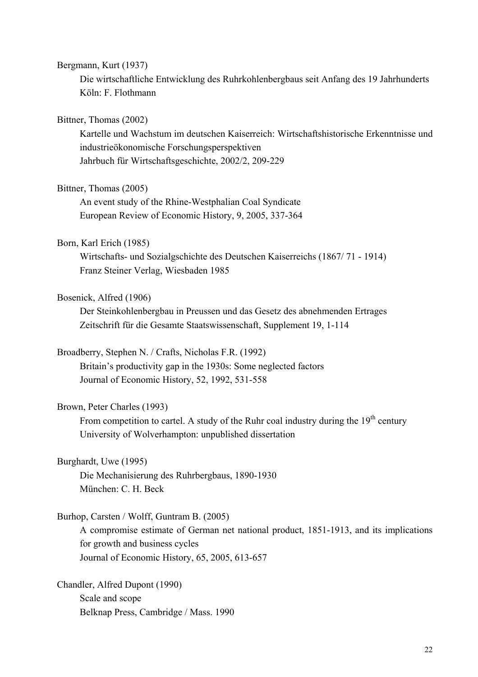#### Bergmann, Kurt (1937)

 Die wirtschaftliche Entwicklung des Ruhrkohlenbergbaus seit Anfang des 19 Jahrhunderts Köln: F. Flothmann

### Bittner, Thomas (2002)

 Kartelle und Wachstum im deutschen Kaiserreich: Wirtschaftshistorische Erkenntnisse und industrieökonomische Forschungsperspektiven Jahrbuch für Wirtschaftsgeschichte, 2002/2, 209-229

#### Bittner, Thomas (2005)

 An event study of the Rhine-Westphalian Coal Syndicate European Review of Economic History, 9, 2005, 337-364

### Born, Karl Erich (1985)

 Wirtschafts- und Sozialgschichte des Deutschen Kaiserreichs (1867/ 71 - 1914) Franz Steiner Verlag, Wiesbaden 1985

### Bosenick, Alfred (1906)

 Der Steinkohlenbergbau in Preussen und das Gesetz des abnehmenden Ertrages Zeitschrift für die Gesamte Staatswissenschaft, Supplement 19, 1-114

Broadberry, Stephen N. / Crafts, Nicholas F.R. (1992)

 Britain's productivity gap in the 1930s: Some neglected factors Journal of Economic History, 52, 1992, 531-558

### Brown, Peter Charles (1993)

From competition to cartel. A study of the Ruhr coal industry during the  $19<sup>th</sup>$  century University of Wolverhampton: unpublished dissertation

### Burghardt, Uwe (1995)

 Die Mechanisierung des Ruhrbergbaus, 1890-1930 München: C. H. Beck

### Burhop, Carsten / Wolff, Guntram B. (2005)

 A compromise estimate of German net national product, 1851-1913, and its implications for growth and business cycles Journal of Economic History, 65, 2005, 613-657

Chandler, Alfred Dupont (1990) Scale and scope Belknap Press, Cambridge / Mass. 1990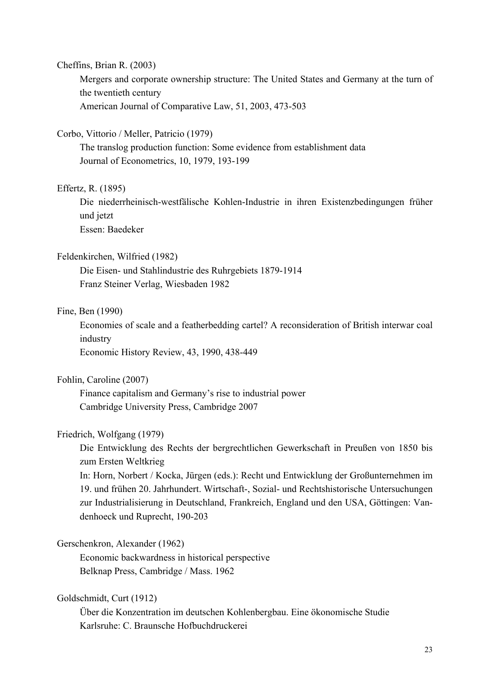#### Cheffins, Brian R. (2003)

 Mergers and corporate ownership structure: The United States and Germany at the turn of the twentieth century

American Journal of Comparative Law, 51, 2003, 473-503

### Corbo, Vittorio / Meller, Patricio (1979)

 The translog production function: Some evidence from establishment data Journal of Econometrics, 10, 1979, 193-199

### Effertz, R. (1895)

 Die niederrheinisch-westfälische Kohlen-Industrie in ihren Existenzbedingungen früher und jetzt

Essen: Baedeker

### Feldenkirchen, Wilfried (1982)

 Die Eisen- und Stahlindustrie des Ruhrgebiets 1879-1914 Franz Steiner Verlag, Wiesbaden 1982

### Fine, Ben (1990)

 Economies of scale and a featherbedding cartel? A reconsideration of British interwar coal industry

Economic History Review, 43, 1990, 438-449

### Fohlin, Caroline (2007)

 Finance capitalism and Germany's rise to industrial power Cambridge University Press, Cambridge 2007

### Friedrich, Wolfgang (1979)

 Die Entwicklung des Rechts der bergrechtlichen Gewerkschaft in Preußen von 1850 bis zum Ersten Weltkrieg

 In: Horn, Norbert / Kocka, Jürgen (eds.): Recht und Entwicklung der Großunternehmen im 19. und frühen 20. Jahrhundert. Wirtschaft-, Sozial- und Rechtshistorische Untersuchungen zur Industrialisierung in Deutschland, Frankreich, England und den USA, Göttingen: Vandenhoeck und Ruprecht, 190-203

### Gerschenkron, Alexander (1962)

 Economic backwardness in historical perspective Belknap Press, Cambridge / Mass. 1962

### Goldschmidt, Curt (1912)

 Über die Konzentration im deutschen Kohlenbergbau. Eine ökonomische Studie Karlsruhe: C. Braunsche Hofbuchdruckerei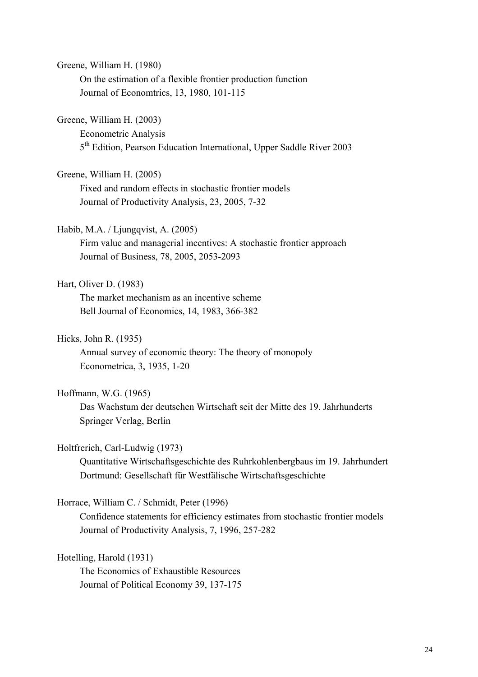Greene, William H. (1980)

 On the estimation of a flexible frontier production function Journal of Economtrics, 13, 1980, 101-115

Greene, William H. (2003)

 Econometric Analysis 5th Edition, Pearson Education International, Upper Saddle River 2003

Greene, William H. (2005)

 Fixed and random effects in stochastic frontier models Journal of Productivity Analysis, 23, 2005, 7-32

### Habib, M.A. / Ljungqvist, A. (2005)

 Firm value and managerial incentives: A stochastic frontier approach Journal of Business, 78, 2005, 2053-2093

### Hart, Oliver D. (1983)

 The market mechanism as an incentive scheme Bell Journal of Economics, 14, 1983, 366-382

### Hicks, John R. (1935)

 Annual survey of economic theory: The theory of monopoly Econometrica, 3, 1935, 1-20

### Hoffmann, W.G. (1965)

 Das Wachstum der deutschen Wirtschaft seit der Mitte des 19. Jahrhunderts Springer Verlag, Berlin

### Holtfrerich, Carl-Ludwig (1973)

 Quantitative Wirtschaftsgeschichte des Ruhrkohlenbergbaus im 19. Jahrhundert Dortmund: Gesellschaft für Westfälische Wirtschaftsgeschichte

### Horrace, William C. / Schmidt, Peter (1996)

 Confidence statements for efficiency estimates from stochastic frontier models Journal of Productivity Analysis, 7, 1996, 257-282

### Hotelling, Harold (1931)

 The Economics of Exhaustible Resources Journal of Political Economy 39, 137-175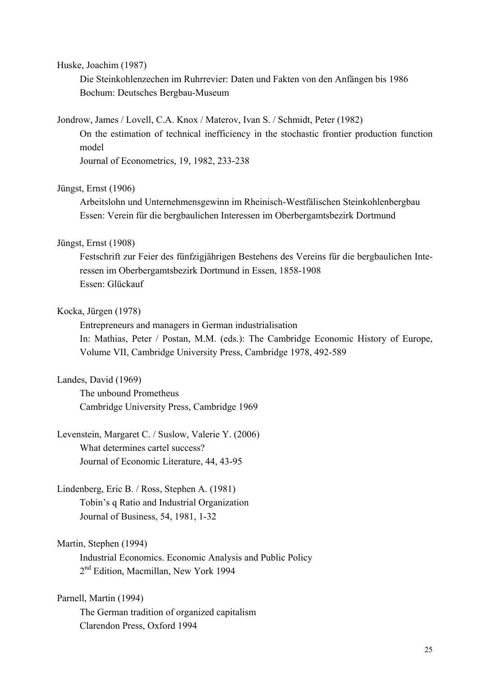#### Huske, Joachim (1987)

 Die Steinkohlenzechen im Ruhrrevier: Daten und Fakten von den Anfängen bis 1986 Bochum: Deutsches Bergbau-Museum

### Jondrow, James / Lovell, C.A. Knox / Materov, Ivan S. / Schmidt, Peter (1982)

 On the estimation of technical inefficiency in the stochastic frontier production function model

Journal of Econometrics, 19, 1982, 233-238

### Jüngst, Ernst (1906)

 Arbeitslohn und Unternehmensgewinn im Rheinisch-Westfälischen Steinkohlenbergbau Essen: Verein für die bergbaulichen Interessen im Oberbergamtsbezirk Dortmund

### Jüngst, Ernst (1908)

 Festschrift zur Feier des fünfzigjährigen Bestehens des Vereins für die bergbaulichen Interessen im Oberbergamtsbezirk Dortmund in Essen, 1858-1908 Essen: Glückauf

### Kocka, Jürgen (1978)

 Entrepreneurs and managers in German industrialisation In: Mathias, Peter / Postan, M.M. (eds.): The Cambridge Economic History of Europe, Volume VII, Cambridge University Press, Cambridge 1978, 492-589

#### Landes, David (1969)

 The unbound Prometheus Cambridge University Press, Cambridge 1969

### Levenstein, Margaret C. / Suslow, Valerie Y. (2006) What determines cartel success? Journal of Economic Literature, 44, 43-95

### Lindenberg, Eric B. / Ross, Stephen A. (1981) Tobin's q Ratio and Industrial Organization Journal of Business, 54, 1981, 1-32

Martin, Stephen (1994)

 Industrial Economics. Economic Analysis and Public Policy 2<sup>nd</sup> Edition, Macmillan, New York 1994

### Parnell, Martin (1994)

 The German tradition of organized capitalism Clarendon Press, Oxford 1994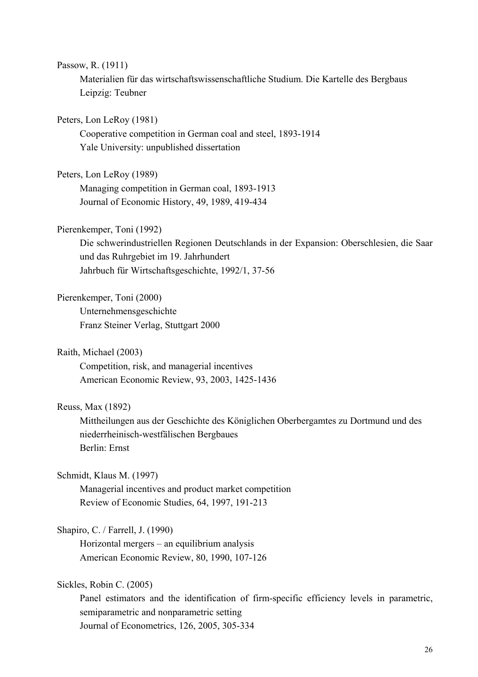#### Passow, R. (1911)

 Materialien für das wirtschaftswissenschaftliche Studium. Die Kartelle des Bergbaus Leipzig: Teubner

### Peters, Lon LeRoy (1981)

 Cooperative competition in German coal and steel, 1893-1914 Yale University: unpublished dissertation

### Peters, Lon LeRoy (1989)

 Managing competition in German coal, 1893-1913 Journal of Economic History, 49, 1989, 419-434

### Pierenkemper, Toni (1992)

 Die schwerindustriellen Regionen Deutschlands in der Expansion: Oberschlesien, die Saar und das Ruhrgebiet im 19. Jahrhundert Jahrbuch für Wirtschaftsgeschichte, 1992/1, 37-56

### Pierenkemper, Toni (2000) Unternehmensgeschichte Franz Steiner Verlag, Stuttgart 2000

#### Raith, Michael (2003)

 Competition, risk, and managerial incentives American Economic Review, 93, 2003, 1425-1436

### Reuss, Max (1892)

 Mittheilungen aus der Geschichte des Königlichen Oberbergamtes zu Dortmund und des niederrheinisch-westfälischen Bergbaues Berlin: Ernst

### Schmidt, Klaus M. (1997)

 Managerial incentives and product market competition Review of Economic Studies, 64, 1997, 191-213

#### Shapiro, C. / Farrell, J. (1990)

 Horizontal mergers – an equilibrium analysis American Economic Review, 80, 1990, 107-126

### Sickles, Robin C. (2005)

 Panel estimators and the identification of firm-specific efficiency levels in parametric, semiparametric and nonparametric setting Journal of Econometrics, 126, 2005, 305-334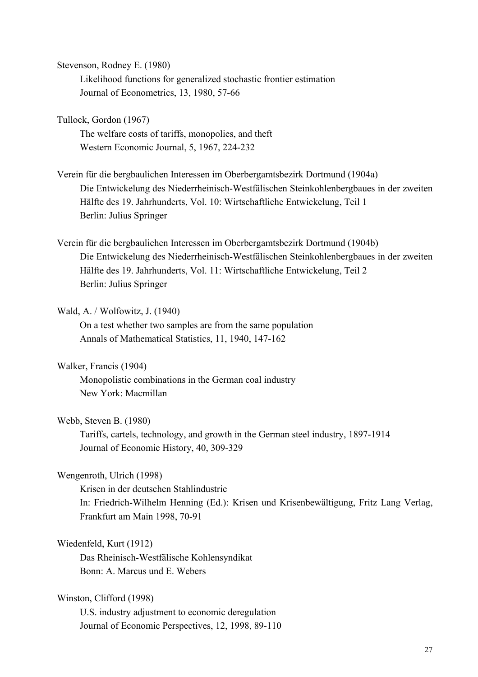Stevenson, Rodney E. (1980)

 Likelihood functions for generalized stochastic frontier estimation Journal of Econometrics, 13, 1980, 57-66

Tullock, Gordon (1967)

 The welfare costs of tariffs, monopolies, and theft Western Economic Journal, 5, 1967, 224-232

Verein für die bergbaulichen Interessen im Oberbergamtsbezirk Dortmund (1904a) Die Entwickelung des Niederrheinisch-Westfälischen Steinkohlenbergbaues in der zweiten Hälfte des 19. Jahrhunderts, Vol. 10: Wirtschaftliche Entwickelung, Teil 1 Berlin: Julius Springer

Verein für die bergbaulichen Interessen im Oberbergamtsbezirk Dortmund (1904b) Die Entwickelung des Niederrheinisch-Westfälischen Steinkohlenbergbaues in der zweiten Hälfte des 19. Jahrhunderts, Vol. 11: Wirtschaftliche Entwickelung, Teil 2 Berlin: Julius Springer

Wald, A. / Wolfowitz, J. (1940)

 On a test whether two samples are from the same population Annals of Mathematical Statistics, 11, 1940, 147-162

### Walker, Francis (1904)

 Monopolistic combinations in the German coal industry New York: Macmillan

### Webb, Steven B. (1980)

 Tariffs, cartels, technology, and growth in the German steel industry, 1897-1914 Journal of Economic History, 40, 309-329

#### Wengenroth, Ulrich (1998)

 Krisen in der deutschen Stahlindustrie In: Friedrich-Wilhelm Henning (Ed.): Krisen und Krisenbewältigung, Fritz Lang Verlag, Frankfurt am Main 1998, 70-91

### Wiedenfeld, Kurt (1912)

 Das Rheinisch-Westfälische Kohlensyndikat Bonn: A. Marcus und E. Webers

### Winston, Clifford (1998)

 U.S. industry adjustment to economic deregulation Journal of Economic Perspectives, 12, 1998, 89-110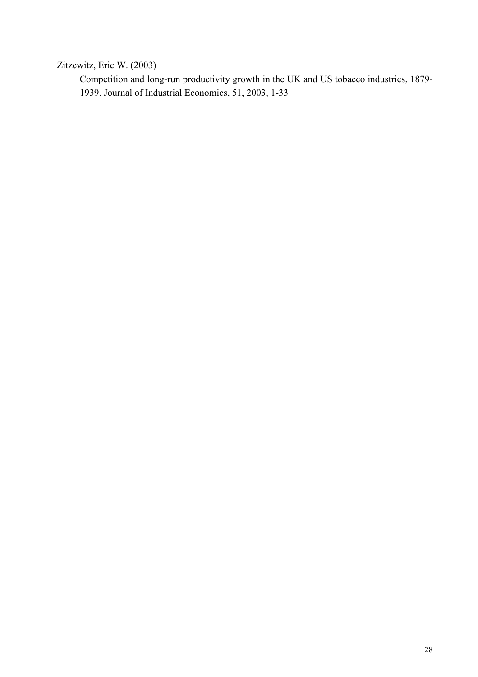Zitzewitz, Eric W. (2003)

 Competition and long-run productivity growth in the UK and US tobacco industries, 1879- 1939. Journal of Industrial Economics, 51, 2003, 1-33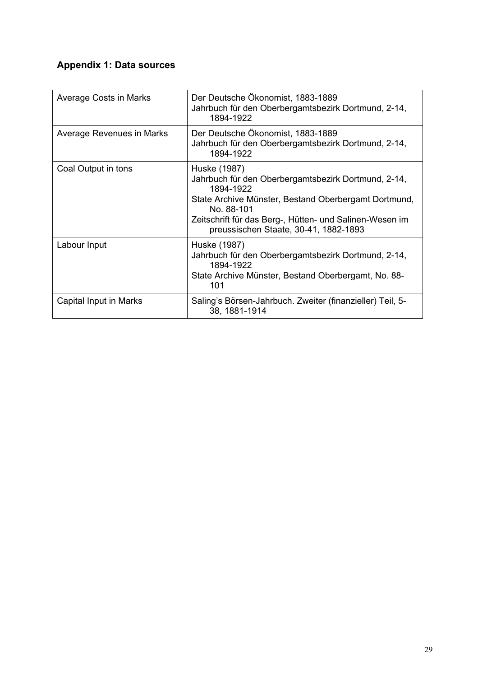# **Appendix 1: Data sources**

| Average Costs in Marks    | Der Deutsche Ökonomist, 1883-1889<br>Jahrbuch für den Oberbergamtsbezirk Dortmund, 2-14,<br>1894-1922                                                                                                                                                      |
|---------------------------|------------------------------------------------------------------------------------------------------------------------------------------------------------------------------------------------------------------------------------------------------------|
| Average Revenues in Marks | Der Deutsche Ökonomist, 1883-1889<br>Jahrbuch für den Oberbergamtsbezirk Dortmund, 2-14,<br>1894-1922                                                                                                                                                      |
| Coal Output in tons       | Huske (1987)<br>Jahrbuch für den Oberbergamtsbezirk Dortmund, 2-14,<br>1894-1922<br>State Archive Münster, Bestand Oberbergamt Dortmund,<br>No. 88-101<br>Zeitschrift für das Berg-, Hütten- und Salinen-Wesen im<br>preussischen Staate, 30-41, 1882-1893 |
| Labour Input              | Huske (1987)<br>Jahrbuch für den Oberbergamtsbezirk Dortmund, 2-14,<br>1894-1922<br>State Archive Münster, Bestand Oberbergamt, No. 88-<br>101                                                                                                             |
| Capital Input in Marks    | Saling's Börsen-Jahrbuch. Zweiter (finanzieller) Teil, 5-<br>38, 1881-1914                                                                                                                                                                                 |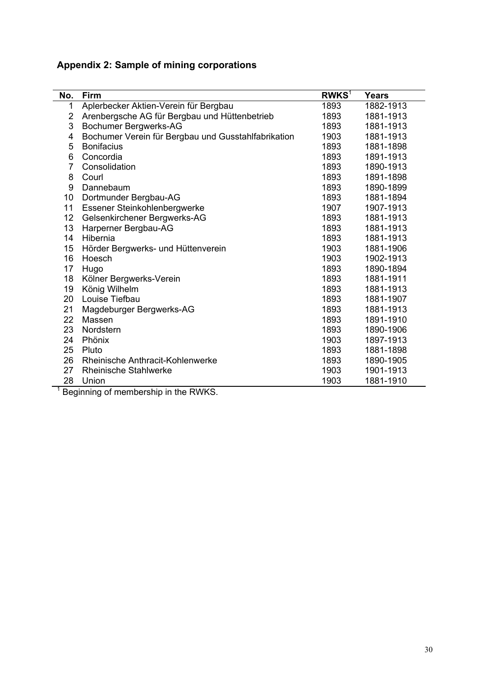**Appendix 2: Sample of mining corporations** 

| No.             | <b>Firm</b>                                         | RWKS <sup>1</sup> | <b>Years</b> |
|-----------------|-----------------------------------------------------|-------------------|--------------|
| 1               | Aplerbecker Aktien-Verein für Bergbau               | 1893              | 1882-1913    |
| $\overline{2}$  | Arenbergsche AG für Bergbau und Hüttenbetrieb       | 1893              | 1881-1913    |
| 3               | Bochumer Bergwerks-AG                               | 1893              | 1881-1913    |
| 4               | Bochumer Verein für Bergbau und Gusstahlfabrikation | 1903              | 1881-1913    |
| 5               | <b>Bonifacius</b>                                   | 1893              | 1881-1898    |
| 6               | Concordia                                           | 1893              | 1891-1913    |
| $\overline{7}$  | Consolidation                                       | 1893              | 1890-1913    |
| 8               | Courl                                               | 1893              | 1891-1898    |
| 9               | Dannebaum                                           | 1893              | 1890-1899    |
| 10 <sup>°</sup> | Dortmunder Bergbau-AG                               | 1893              | 1881-1894    |
| 11              | Essener Steinkohlenbergwerke                        | 1907              | 1907-1913    |
| 12              | Gelsenkirchener Bergwerks-AG                        | 1893              | 1881-1913    |
| 13              | Harperner Bergbau-AG                                | 1893              | 1881-1913    |
| 14              | <b>Hibernia</b>                                     | 1893              | 1881-1913    |
| 15              | Hörder Bergwerks- und Hüttenverein                  | 1903              | 1881-1906    |
| 16              | Hoesch                                              | 1903              | 1902-1913    |
| 17              | Hugo                                                | 1893              | 1890-1894    |
| 18              | Kölner Bergwerks-Verein                             | 1893              | 1881-1911    |
| 19              | König Wilhelm                                       | 1893              | 1881-1913    |
| 20              | Louise Tiefbau                                      | 1893              | 1881-1907    |
| 21              | Magdeburger Bergwerks-AG                            | 1893              | 1881-1913    |
| 22              | Massen                                              | 1893              | 1891-1910    |
| 23              | Nordstern                                           | 1893              | 1890-1906    |
| 24              | Phönix                                              | 1903              | 1897-1913    |
| 25              | Pluto                                               | 1893              | 1881-1898    |
| 26              | Rheinische Anthracit-Kohlenwerke                    | 1893              | 1890-1905    |
| 27              | <b>Rheinische Stahlwerke</b>                        | 1903              | 1901-1913    |
| 28              | Union                                               | 1903              | 1881-1910    |

<sup>1</sup> Beginning of membership in the RWKS.